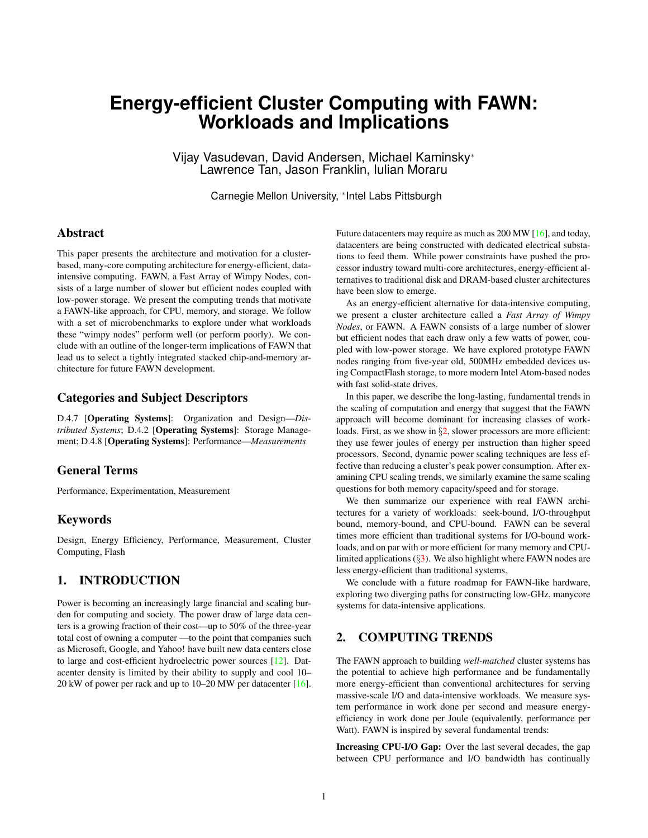# **Energy-efficient Cluster Computing with FAWN: Workloads and Implications**

Vijay Vasudevan, David Andersen, Michael Kaminsky<sup>∗</sup> Lawrence Tan, Jason Franklin, Iulian Moraru

Carnegie Mellon University, <sup>∗</sup> Intel Labs Pittsburgh

## Abstract

This paper presents the architecture and motivation for a clusterbased, many-core computing architecture for energy-efficient, dataintensive computing. FAWN, a Fast Array of Wimpy Nodes, consists of a large number of slower but efficient nodes coupled with low-power storage. We present the computing trends that motivate a FAWN-like approach, for CPU, memory, and storage. We follow with a set of microbenchmarks to explore under what workloads these "wimpy nodes" perform well (or perform poorly). We conclude with an outline of the longer-term implications of FAWN that lead us to select a tightly integrated stacked chip-and-memory architecture for future FAWN development.

## Categories and Subject Descriptors

D.4.7 [Operating Systems]: Organization and Design—*Distributed Systems*; D.4.2 [Operating Systems]: Storage Management; D.4.8 [Operating Systems]: Performance—*Measurements*

## General Terms

Performance, Experimentation, Measurement

## Keywords

Design, Energy Efficiency, Performance, Measurement, Cluster Computing, Flash

## 1. INTRODUCTION

Power is becoming an increasingly large financial and scaling burden for computing and society. The power draw of large data centers is a growing fraction of their cost—up to 50% of the three-year total cost of owning a computer —to the point that companies such as Microsoft, Google, and Yahoo! have built new data centers close to large and cost-efficient hydroelectric power sources [\[12\]](#page-9-0). Datacenter density is limited by their ability to supply and cool 10– 20 kW of power per rack and up to 10–20 MW per datacenter [\[16\]](#page-9-1). Future datacenters may require as much as 200 MW [\[16\]](#page-9-1), and today, datacenters are being constructed with dedicated electrical substations to feed them. While power constraints have pushed the processor industry toward multi-core architectures, energy-efficient alternatives to traditional disk and DRAM-based cluster architectures have been slow to emerge.

As an energy-efficient alternative for data-intensive computing, we present a cluster architecture called a *Fast Array of Wimpy Nodes*, or FAWN. A FAWN consists of a large number of slower but efficient nodes that each draw only a few watts of power, coupled with low-power storage. We have explored prototype FAWN nodes ranging from five-year old, 500MHz embedded devices using CompactFlash storage, to more modern Intel Atom-based nodes with fast solid-state drives.

In this paper, we describe the long-lasting, fundamental trends in the scaling of computation and energy that suggest that the FAWN approach will become dominant for increasing classes of work-loads. First, as we show in §[2,](#page-0-0) slower processors are more efficient: they use fewer joules of energy per instruction than higher speed processors. Second, dynamic power scaling techniques are less effective than reducing a cluster's peak power consumption. After examining CPU scaling trends, we similarly examine the same scaling questions for both memory capacity/speed and for storage.

We then summarize our experience with real FAWN architectures for a variety of workloads: seek-bound, I/O-throughput bound, memory-bound, and CPU-bound. FAWN can be several times more efficient than traditional systems for I/O-bound workloads, and on par with or more efficient for many memory and CPUlimited applications (§[3\)](#page-2-0). We also highlight where FAWN nodes are less energy-efficient than traditional systems.

We conclude with a future roadmap for FAWN-like hardware, exploring two diverging paths for constructing low-GHz, manycore systems for data-intensive applications.

## <span id="page-0-0"></span>2. COMPUTING TRENDS

The FAWN approach to building *well-matched* cluster systems has the potential to achieve high performance and be fundamentally more energy-efficient than conventional architectures for serving massive-scale I/O and data-intensive workloads. We measure system performance in work done per second and measure energyefficiency in work done per Joule (equivalently, performance per Watt). FAWN is inspired by several fundamental trends:

Increasing CPU-I/O Gap: Over the last several decades, the gap between CPU performance and I/O bandwidth has continually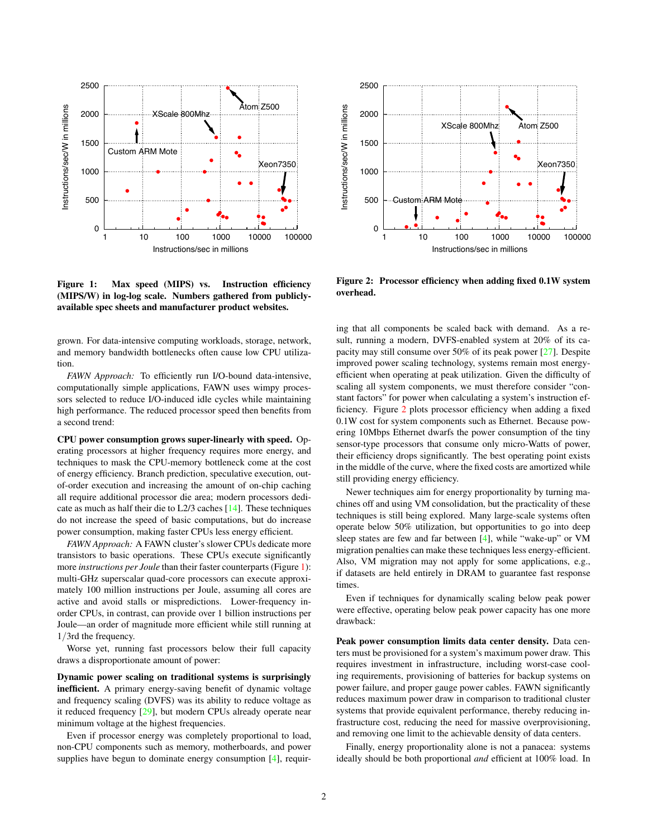

<span id="page-1-0"></span>Figure 1: Max speed (MIPS) vs. Instruction efficiency (MIPS/W) in log-log scale. Numbers gathered from publiclyavailable spec sheets and manufacturer product websites.

grown. For data-intensive computing workloads, storage, network, and memory bandwidth bottlenecks often cause low CPU utilization.

*FAWN Approach:* To efficiently run I/O-bound data-intensive, computationally simple applications, FAWN uses wimpy processors selected to reduce I/O-induced idle cycles while maintaining high performance. The reduced processor speed then benefits from a second trend:

CPU power consumption grows super-linearly with speed. Operating processors at higher frequency requires more energy, and techniques to mask the CPU-memory bottleneck come at the cost of energy efficiency. Branch prediction, speculative execution, outof-order execution and increasing the amount of on-chip caching all require additional processor die area; modern processors dedicate as much as half their die to L2/3 caches [\[14\]](#page-9-2). These techniques do not increase the speed of basic computations, but do increase power consumption, making faster CPUs less energy efficient.

*FAWN Approach:* A FAWN cluster's slower CPUs dedicate more transistors to basic operations. These CPUs execute significantly more *instructions per Joule* than their faster counterparts (Figure [1\)](#page-1-0): multi-GHz superscalar quad-core processors can execute approximately 100 million instructions per Joule, assuming all cores are active and avoid stalls or mispredictions. Lower-frequency inorder CPUs, in contrast, can provide over 1 billion instructions per Joule—an order of magnitude more efficient while still running at 1/3rd the frequency.

Worse yet, running fast processors below their full capacity draws a disproportionate amount of power:

Dynamic power scaling on traditional systems is surprisingly inefficient. A primary energy-saving benefit of dynamic voltage and frequency scaling (DVFS) was its ability to reduce voltage as it reduced frequency [\[29\]](#page-9-3), but modern CPUs already operate near minimum voltage at the highest frequencies.

Even if processor energy was completely proportional to load, non-CPU components such as memory, motherboards, and power supplies have begun to dominate energy consumption [\[4\]](#page-9-4), requir-



<span id="page-1-1"></span>Figure 2: Processor efficiency when adding fixed 0.1W system overhead.

ing that all components be scaled back with demand. As a result, running a modern, DVFS-enabled system at 20% of its capacity may still consume over 50% of its peak power [\[27\]](#page-9-5). Despite improved power scaling technology, systems remain most energyefficient when operating at peak utilization. Given the difficulty of scaling all system components, we must therefore consider "constant factors" for power when calculating a system's instruction efficiency. Figure [2](#page-1-1) plots processor efficiency when adding a fixed 0.1W cost for system components such as Ethernet. Because powering 10Mbps Ethernet dwarfs the power consumption of the tiny sensor-type processors that consume only micro-Watts of power, their efficiency drops significantly. The best operating point exists in the middle of the curve, where the fixed costs are amortized while still providing energy efficiency.

Newer techniques aim for energy proportionality by turning machines off and using VM consolidation, but the practicality of these techniques is still being explored. Many large-scale systems often operate below 50% utilization, but opportunities to go into deep sleep states are few and far between [\[4\]](#page-9-4), while "wake-up" or VM migration penalties can make these techniques less energy-efficient. Also, VM migration may not apply for some applications, e.g., if datasets are held entirely in DRAM to guarantee fast response times.

Even if techniques for dynamically scaling below peak power were effective, operating below peak power capacity has one more drawback:

Peak power consumption limits data center density. Data centers must be provisioned for a system's maximum power draw. This requires investment in infrastructure, including worst-case cooling requirements, provisioning of batteries for backup systems on power failure, and proper gauge power cables. FAWN significantly reduces maximum power draw in comparison to traditional cluster systems that provide equivalent performance, thereby reducing infrastructure cost, reducing the need for massive overprovisioning, and removing one limit to the achievable density of data centers.

Finally, energy proportionality alone is not a panacea: systems ideally should be both proportional *and* efficient at 100% load. In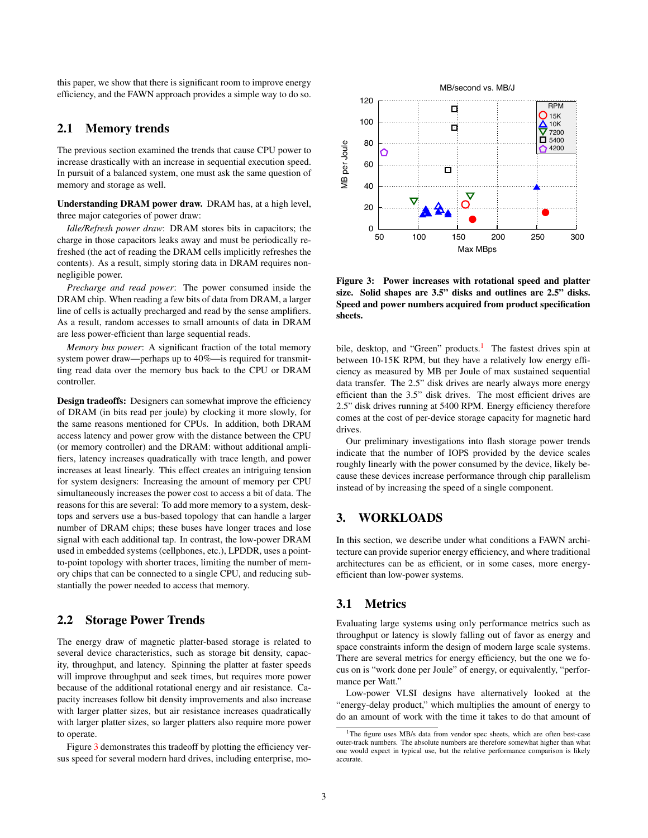this paper, we show that there is significant room to improve energy efficiency, and the FAWN approach provides a simple way to do so.

# 2.1 Memory trends

The previous section examined the trends that cause CPU power to increase drastically with an increase in sequential execution speed. In pursuit of a balanced system, one must ask the same question of memory and storage as well.

Understanding DRAM power draw. DRAM has, at a high level, three major categories of power draw:

*Idle/Refresh power draw*: DRAM stores bits in capacitors; the charge in those capacitors leaks away and must be periodically refreshed (the act of reading the DRAM cells implicitly refreshes the contents). As a result, simply storing data in DRAM requires nonnegligible power.

*Precharge and read power*: The power consumed inside the DRAM chip. When reading a few bits of data from DRAM, a larger line of cells is actually precharged and read by the sense amplifiers. As a result, random accesses to small amounts of data in DRAM are less power-efficient than large sequential reads.

*Memory bus power*: A significant fraction of the total memory system power draw—perhaps up to 40%—is required for transmitting read data over the memory bus back to the CPU or DRAM controller.

Design tradeoffs: Designers can somewhat improve the efficiency of DRAM (in bits read per joule) by clocking it more slowly, for the same reasons mentioned for CPUs. In addition, both DRAM access latency and power grow with the distance between the CPU (or memory controller) and the DRAM: without additional amplifiers, latency increases quadratically with trace length, and power increases at least linearly. This effect creates an intriguing tension for system designers: Increasing the amount of memory per CPU simultaneously increases the power cost to access a bit of data. The reasons for this are several: To add more memory to a system, desktops and servers use a bus-based topology that can handle a larger number of DRAM chips; these buses have longer traces and lose signal with each additional tap. In contrast, the low-power DRAM used in embedded systems (cellphones, etc.), LPDDR, uses a pointto-point topology with shorter traces, limiting the number of memory chips that can be connected to a single CPU, and reducing substantially the power needed to access that memory.

## 2.2 Storage Power Trends

The energy draw of magnetic platter-based storage is related to several device characteristics, such as storage bit density, capacity, throughput, and latency. Spinning the platter at faster speeds will improve throughput and seek times, but requires more power because of the additional rotational energy and air resistance. Capacity increases follow bit density improvements and also increase with larger platter sizes, but air resistance increases quadratically with larger platter sizes, so larger platters also require more power to operate.

Figure [3](#page-2-1) demonstrates this tradeoff by plotting the efficiency versus speed for several modern hard drives, including enterprise, mo-



<span id="page-2-1"></span>Figure 3: Power increases with rotational speed and platter size. Solid shapes are 3.5" disks and outlines are 2.5" disks. Speed and power numbers acquired from product specification sheets.

bile, desktop, and "Green" products.<sup>[1](#page-2-2)</sup> The fastest drives spin at between 10-15K RPM, but they have a relatively low energy efficiency as measured by MB per Joule of max sustained sequential data transfer. The 2.5" disk drives are nearly always more energy efficient than the 3.5" disk drives. The most efficient drives are 2.5" disk drives running at 5400 RPM. Energy efficiency therefore comes at the cost of per-device storage capacity for magnetic hard drives.

Our preliminary investigations into flash storage power trends indicate that the number of IOPS provided by the device scales roughly linearly with the power consumed by the device, likely because these devices increase performance through chip parallelism instead of by increasing the speed of a single component.

# <span id="page-2-0"></span>3. WORKLOADS

In this section, we describe under what conditions a FAWN architecture can provide superior energy efficiency, and where traditional architectures can be as efficient, or in some cases, more energyefficient than low-power systems.

# 3.1 Metrics

Evaluating large systems using only performance metrics such as throughput or latency is slowly falling out of favor as energy and space constraints inform the design of modern large scale systems. There are several metrics for energy efficiency, but the one we focus on is "work done per Joule" of energy, or equivalently, "performance per Watt."

Low-power VLSI designs have alternatively looked at the "energy-delay product," which multiplies the amount of energy to do an amount of work with the time it takes to do that amount of

<span id="page-2-2"></span><sup>&</sup>lt;sup>1</sup>The figure uses MB/s data from vendor spec sheets, which are often best-case outer-track numbers. The absolute numbers are therefore somewhat higher than what one would expect in typical use, but the relative performance comparison is likely accurate.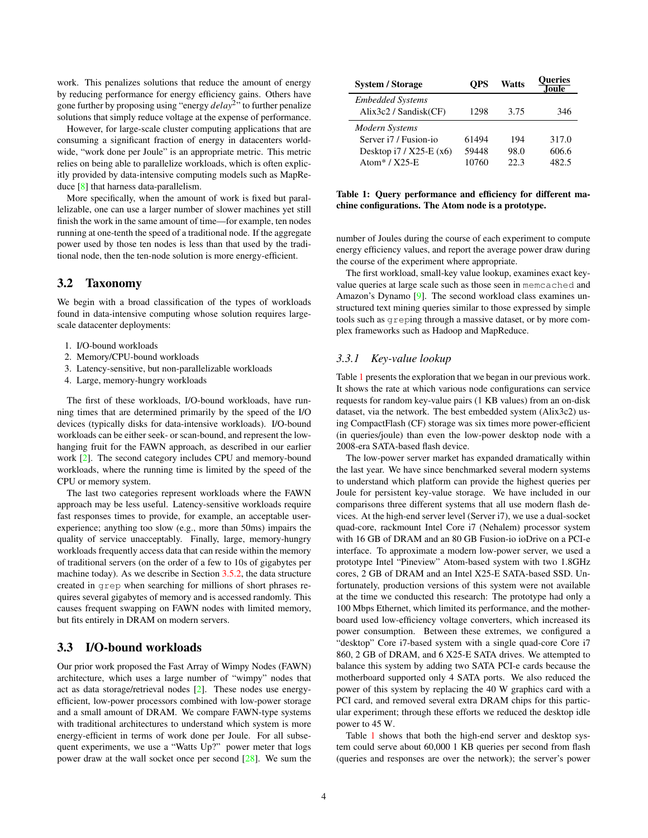work. This penalizes solutions that reduce the amount of energy by reducing performance for energy efficiency gains. Others have gone further by proposing using "energy *delay*<sup>2</sup> " to further penalize solutions that simply reduce voltage at the expense of performance.

However, for large-scale cluster computing applications that are consuming a significant fraction of energy in datacenters worldwide, "work done per Joule" is an appropriate metric. This metric relies on being able to parallelize workloads, which is often explicitly provided by data-intensive computing models such as MapReduce [\[8\]](#page-9-6) that harness data-parallelism.

More specifically, when the amount of work is fixed but parallelizable, one can use a larger number of slower machines yet still finish the work in the same amount of time—for example, ten nodes running at one-tenth the speed of a traditional node. If the aggregate power used by those ten nodes is less than that used by the traditional node, then the ten-node solution is more energy-efficient.

## 3.2 Taxonomy

We begin with a broad classification of the types of workloads found in data-intensive computing whose solution requires largescale datacenter deployments:

- 1. I/O-bound workloads
- 2. Memory/CPU-bound workloads
- 3. Latency-sensitive, but non-parallelizable workloads
- 4. Large, memory-hungry workloads

The first of these workloads, I/O-bound workloads, have running times that are determined primarily by the speed of the I/O devices (typically disks for data-intensive workloads). I/O-bound workloads can be either seek- or scan-bound, and represent the lowhanging fruit for the FAWN approach, as described in our earlier work [\[2\]](#page-9-7). The second category includes CPU and memory-bound workloads, where the running time is limited by the speed of the CPU or memory system.

The last two categories represent workloads where the FAWN approach may be less useful. Latency-sensitive workloads require fast responses times to provide, for example, an acceptable userexperience; anything too slow (e.g., more than 50ms) impairs the quality of service unacceptably. Finally, large, memory-hungry workloads frequently access data that can reside within the memory of traditional servers (on the order of a few to 10s of gigabytes per machine today). As we describe in Section [3.5.2,](#page-6-0) the data structure created in grep when searching for millions of short phrases requires several gigabytes of memory and is accessed randomly. This causes frequent swapping on FAWN nodes with limited memory, but fits entirely in DRAM on modern servers.

## <span id="page-3-1"></span>3.3 I/O-bound workloads

Our prior work proposed the Fast Array of Wimpy Nodes (FAWN) architecture, which uses a large number of "wimpy" nodes that act as data storage/retrieval nodes [\[2\]](#page-9-7). These nodes use energyefficient, low-power processors combined with low-power storage and a small amount of DRAM. We compare FAWN-type systems with traditional architectures to understand which system is more energy-efficient in terms of work done per Joule. For all subsequent experiments, we use a "Watts Up?" power meter that logs power draw at the wall socket once per second [\[28\]](#page-9-8). We sum the

| <b>System / Storage</b>                          | <b>OPS</b> | <b>Watts</b> | <b>Oueries</b><br>.Joule |
|--------------------------------------------------|------------|--------------|--------------------------|
| <b>Embedded Systems</b><br>Alix3c2 / Sandisk(CF) | 1298       | 3.75         | 346                      |
| Modern Systems                                   |            |              |                          |
| Server i7 / Fusion-io                            | 61494      | 194          | 317.0                    |
| Desktop i7 / X25-E (x6)                          | 59448      | 98.0         | 606.6                    |
| Atom* $/$ X25-E                                  | 10760      | 223          | 482.5                    |

#### <span id="page-3-0"></span>Table 1: Query performance and efficiency for different machine configurations. The Atom node is a prototype.

number of Joules during the course of each experiment to compute energy efficiency values, and report the average power draw during the course of the experiment where appropriate.

The first workload, small-key value lookup, examines exact keyvalue queries at large scale such as those seen in memcached and Amazon's Dynamo [\[9\]](#page-9-9). The second workload class examines unstructured text mining queries similar to those expressed by simple tools such as greping through a massive dataset, or by more complex frameworks such as Hadoop and MapReduce.

## *3.3.1 Key-value lookup*

Table [1](#page-3-0) presents the exploration that we began in our previous work. It shows the rate at which various node configurations can service requests for random key-value pairs (1 KB values) from an on-disk dataset, via the network. The best embedded system (Alix3c2) using CompactFlash (CF) storage was six times more power-efficient (in queries/joule) than even the low-power desktop node with a 2008-era SATA-based flash device.

The low-power server market has expanded dramatically within the last year. We have since benchmarked several modern systems to understand which platform can provide the highest queries per Joule for persistent key-value storage. We have included in our comparisons three different systems that all use modern flash devices. At the high-end server level (Server i7), we use a dual-socket quad-core, rackmount Intel Core i7 (Nehalem) processor system with 16 GB of DRAM and an 80 GB Fusion-io ioDrive on a PCI-e interface. To approximate a modern low-power server, we used a prototype Intel "Pineview" Atom-based system with two 1.8GHz cores, 2 GB of DRAM and an Intel X25-E SATA-based SSD. Unfortunately, production versions of this system were not available at the time we conducted this research: The prototype had only a 100 Mbps Ethernet, which limited its performance, and the motherboard used low-efficiency voltage converters, which increased its power consumption. Between these extremes, we configured a "desktop" Core i7-based system with a single quad-core Core i7 860, 2 GB of DRAM, and 6 X25-E SATA drives. We attempted to balance this system by adding two SATA PCI-e cards because the motherboard supported only 4 SATA ports. We also reduced the power of this system by replacing the 40 W graphics card with a PCI card, and removed several extra DRAM chips for this particular experiment; through these efforts we reduced the desktop idle power to 45 W.

Table [1](#page-3-0) shows that both the high-end server and desktop system could serve about 60,000 1 KB queries per second from flash (queries and responses are over the network); the server's power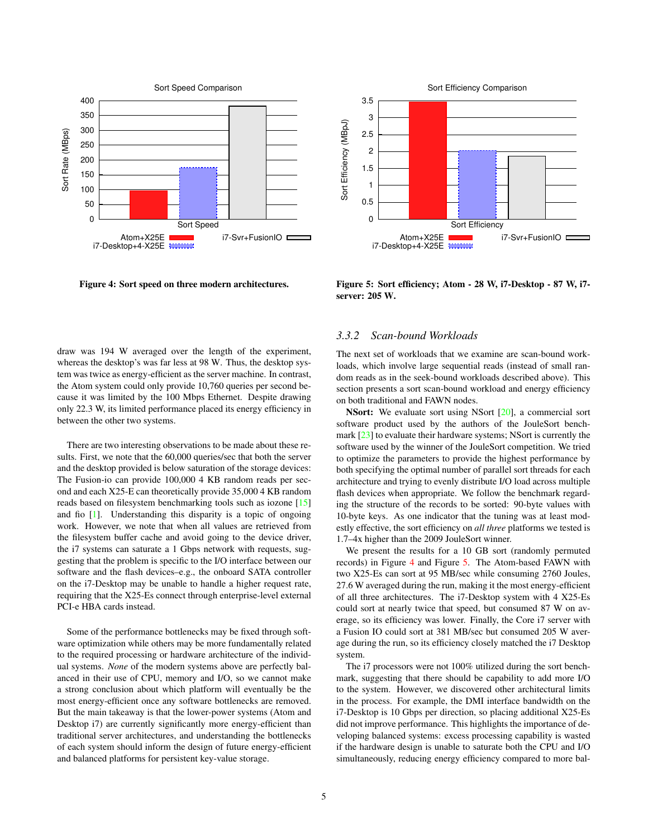

<span id="page-4-0"></span>Figure 4: Sort speed on three modern architectures.



<span id="page-4-1"></span>Figure 5: Sort efficiency; Atom - 28 W, i7-Desktop - 87 W, i7 server: 205 W.

draw was 194 W averaged over the length of the experiment, whereas the desktop's was far less at 98 W. Thus, the desktop system was twice as energy-efficient as the server machine. In contrast, the Atom system could only provide 10,760 queries per second because it was limited by the 100 Mbps Ethernet. Despite drawing only 22.3 W, its limited performance placed its energy efficiency in between the other two systems.

There are two interesting observations to be made about these results. First, we note that the 60,000 queries/sec that both the server and the desktop provided is below saturation of the storage devices: The Fusion-io can provide 100,000 4 KB random reads per second and each X25-E can theoretically provide 35,000 4 KB random reads based on filesystem benchmarking tools such as iozone [\[15\]](#page-9-10) and fio [\[1\]](#page-9-11). Understanding this disparity is a topic of ongoing work. However, we note that when all values are retrieved from the filesystem buffer cache and avoid going to the device driver, the i7 systems can saturate a 1 Gbps network with requests, suggesting that the problem is specific to the I/O interface between our software and the flash devices–e.g., the onboard SATA controller on the i7-Desktop may be unable to handle a higher request rate, requiring that the X25-Es connect through enterprise-level external PCI-e HBA cards instead.

Some of the performance bottlenecks may be fixed through software optimization while others may be more fundamentally related to the required processing or hardware architecture of the individual systems. *None* of the modern systems above are perfectly balanced in their use of CPU, memory and I/O, so we cannot make a strong conclusion about which platform will eventually be the most energy-efficient once any software bottlenecks are removed. But the main takeaway is that the lower-power systems (Atom and Desktop i7) are currently significantly more energy-efficient than traditional server architectures, and understanding the bottlenecks of each system should inform the design of future energy-efficient and balanced platforms for persistent key-value storage.

#### *3.3.2 Scan-bound Workloads*

The next set of workloads that we examine are scan-bound workloads, which involve large sequential reads (instead of small random reads as in the seek-bound workloads described above). This section presents a sort scan-bound workload and energy efficiency on both traditional and FAWN nodes.

NSort: We evaluate sort using NSort [\[20\]](#page-9-12), a commercial sort software product used by the authors of the JouleSort bench-mark [\[23\]](#page-9-13) to evaluate their hardware systems; NSort is currently the software used by the winner of the JouleSort competition. We tried to optimize the parameters to provide the highest performance by both specifying the optimal number of parallel sort threads for each architecture and trying to evenly distribute I/O load across multiple flash devices when appropriate. We follow the benchmark regarding the structure of the records to be sorted: 90-byte values with 10-byte keys. As one indicator that the tuning was at least modestly effective, the sort efficiency on *all three* platforms we tested is 1.7–4x higher than the 2009 JouleSort winner.

We present the results for a 10 GB sort (randomly permuted records) in Figure [4](#page-4-0) and Figure [5.](#page-4-1) The Atom-based FAWN with two X25-Es can sort at 95 MB/sec while consuming 2760 Joules, 27.6 W averaged during the run, making it the most energy-efficient of all three architectures. The i7-Desktop system with 4 X25-Es could sort at nearly twice that speed, but consumed 87 W on average, so its efficiency was lower. Finally, the Core i7 server with a Fusion IO could sort at 381 MB/sec but consumed 205 W average during the run, so its efficiency closely matched the i7 Desktop system.

The i7 processors were not 100% utilized during the sort benchmark, suggesting that there should be capability to add more I/O to the system. However, we discovered other architectural limits in the process. For example, the DMI interface bandwidth on the i7-Desktop is 10 Gbps per direction, so placing additional X25-Es did not improve performance. This highlights the importance of developing balanced systems: excess processing capability is wasted if the hardware design is unable to saturate both the CPU and I/O simultaneously, reducing energy efficiency compared to more bal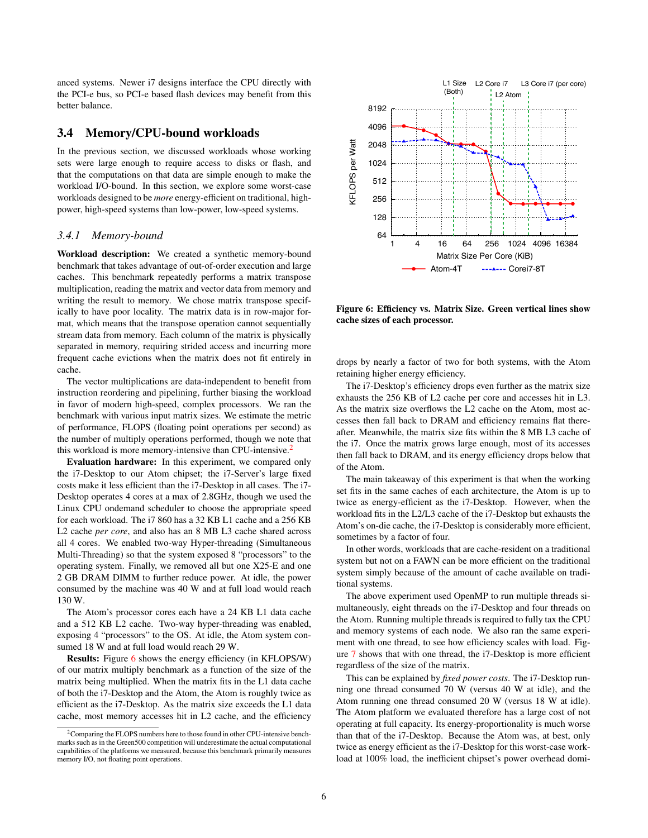anced systems. Newer i7 designs interface the CPU directly with the PCI-e bus, so PCI-e based flash devices may benefit from this better balance.

## 3.4 Memory/CPU-bound workloads

In the previous section, we discussed workloads whose working sets were large enough to require access to disks or flash, and that the computations on that data are simple enough to make the workload I/O-bound. In this section, we explore some worst-case workloads designed to be *more* energy-efficient on traditional, highpower, high-speed systems than low-power, low-speed systems.

#### *3.4.1 Memory-bound*

Workload description: We created a synthetic memory-bound benchmark that takes advantage of out-of-order execution and large caches. This benchmark repeatedly performs a matrix transpose multiplication, reading the matrix and vector data from memory and writing the result to memory. We chose matrix transpose specifically to have poor locality. The matrix data is in row-major format, which means that the transpose operation cannot sequentially stream data from memory. Each column of the matrix is physically separated in memory, requiring strided access and incurring more frequent cache evictions when the matrix does not fit entirely in cache.

The vector multiplications are data-independent to benefit from instruction reordering and pipelining, further biasing the workload in favor of modern high-speed, complex processors. We ran the benchmark with various input matrix sizes. We estimate the metric of performance, FLOPS (floating point operations per second) as the number of multiply operations performed, though we note that this workload is more memory-intensive than CPU-intensive.<sup>[2](#page-5-0)</sup>

Evaluation hardware: In this experiment, we compared only the i7-Desktop to our Atom chipset; the i7-Server's large fixed costs make it less efficient than the i7-Desktop in all cases. The i7- Desktop operates 4 cores at a max of 2.8GHz, though we used the Linux CPU ondemand scheduler to choose the appropriate speed for each workload. The i7 860 has a 32 KB L1 cache and a 256 KB L2 cache *per core*, and also has an 8 MB L3 cache shared across all 4 cores. We enabled two-way Hyper-threading (Simultaneous Multi-Threading) so that the system exposed 8 "processors" to the operating system. Finally, we removed all but one X25-E and one 2 GB DRAM DIMM to further reduce power. At idle, the power consumed by the machine was 40 W and at full load would reach 130 W.

The Atom's processor cores each have a 24 KB L1 data cache and a 512 KB L2 cache. Two-way hyper-threading was enabled, exposing 4 "processors" to the OS. At idle, the Atom system consumed 18 W and at full load would reach 29 W.

Results: Figure [6](#page-5-1) shows the energy efficiency (in KFLOPS/W) of our matrix multiply benchmark as a function of the size of the matrix being multiplied. When the matrix fits in the L1 data cache of both the i7-Desktop and the Atom, the Atom is roughly twice as efficient as the i7-Desktop. As the matrix size exceeds the L1 data cache, most memory accesses hit in L2 cache, and the efficiency



<span id="page-5-1"></span>Figure 6: Efficiency vs. Matrix Size. Green vertical lines show cache sizes of each processor.

drops by nearly a factor of two for both systems, with the Atom retaining higher energy efficiency.

The i7-Desktop's efficiency drops even further as the matrix size exhausts the 256 KB of L2 cache per core and accesses hit in L3. As the matrix size overflows the L2 cache on the Atom, most accesses then fall back to DRAM and efficiency remains flat thereafter. Meanwhile, the matrix size fits within the 8 MB L3 cache of the i7. Once the matrix grows large enough, most of its accesses then fall back to DRAM, and its energy efficiency drops below that of the Atom.

The main takeaway of this experiment is that when the working set fits in the same caches of each architecture, the Atom is up to twice as energy-efficient as the i7-Desktop. However, when the workload fits in the L2/L3 cache of the i7-Desktop but exhausts the Atom's on-die cache, the i7-Desktop is considerably more efficient, sometimes by a factor of four.

In other words, workloads that are cache-resident on a traditional system but not on a FAWN can be more efficient on the traditional system simply because of the amount of cache available on traditional systems.

The above experiment used OpenMP to run multiple threads simultaneously, eight threads on the i7-Desktop and four threads on the Atom. Running multiple threads is required to fully tax the CPU and memory systems of each node. We also ran the same experiment with one thread, to see how efficiency scales with load. Figure [7](#page-6-1) shows that with one thread, the i7-Desktop is more efficient regardless of the size of the matrix.

This can be explained by *fixed power costs*. The i7-Desktop running one thread consumed 70 W (versus 40 W at idle), and the Atom running one thread consumed 20 W (versus 18 W at idle). The Atom platform we evaluated therefore has a large cost of not operating at full capacity. Its energy-proportionality is much worse than that of the i7-Desktop. Because the Atom was, at best, only twice as energy efficient as the i7-Desktop for this worst-case workload at 100% load, the inefficient chipset's power overhead domi-

<span id="page-5-0"></span><sup>&</sup>lt;sup>2</sup>Comparing the FLOPS numbers here to those found in other CPU-intensive benchmarks such as in the Green500 competition will underestimate the actual computational capabilities of the platforms we measured, because this benchmark primarily measures memory I/O, not floating point operations.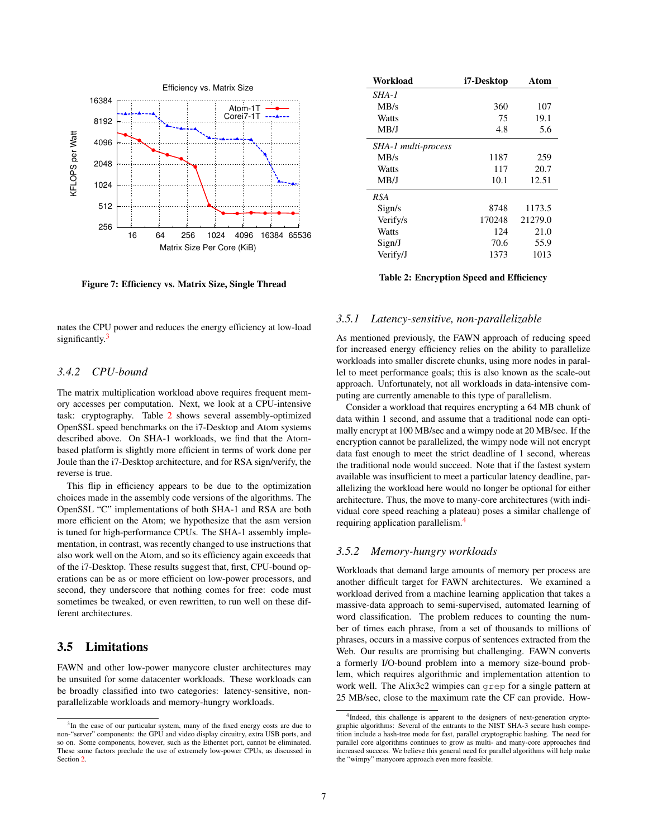

<span id="page-6-1"></span>Figure 7: Efficiency vs. Matrix Size, Single Thread

nates the CPU power and reduces the energy efficiency at low-load significantly. $3$ 

## *3.4.2 CPU-bound*

The matrix multiplication workload above requires frequent memory accesses per computation. Next, we look at a CPU-intensive task: cryptography. Table [2](#page-6-3) shows several assembly-optimized OpenSSL speed benchmarks on the i7-Desktop and Atom systems described above. On SHA-1 workloads, we find that the Atombased platform is slightly more efficient in terms of work done per Joule than the i7-Desktop architecture, and for RSA sign/verify, the reverse is true.

This flip in efficiency appears to be due to the optimization choices made in the assembly code versions of the algorithms. The OpenSSL "C" implementations of both SHA-1 and RSA are both more efficient on the Atom; we hypothesize that the asm version is tuned for high-performance CPUs. The SHA-1 assembly implementation, in contrast, was recently changed to use instructions that also work well on the Atom, and so its efficiency again exceeds that of the i7-Desktop. These results suggest that, first, CPU-bound operations can be as or more efficient on low-power processors, and second, they underscore that nothing comes for free: code must sometimes be tweaked, or even rewritten, to run well on these different architectures.

# 3.5 Limitations

FAWN and other low-power manycore cluster architectures may be unsuited for some datacenter workloads. These workloads can be broadly classified into two categories: latency-sensitive, nonparallelizable workloads and memory-hungry workloads.

<span id="page-6-3"></span>

| Workload            | i7-Desktop | Atom    |
|---------------------|------------|---------|
| SHA-1               |            |         |
| MB/s                | 360        | 107     |
| Watts               | 75         | 19.1    |
| MB/J                | 4.8        | 5.6     |
| SHA-1 multi-process |            |         |
| MB/s                | 1187       | 259     |
| Watts               | 117        | 20.7    |
| MB/J                | 10.1       | 12.51   |
| <b>RSA</b>          |            |         |
| Sign/s              | 8748       | 1173.5  |
| Verify/s            | 170248     | 21279.0 |
| Watts               | 124        | 21.0    |
| Sign/J              | 70.6       | 55.9    |
| Verify/J            | 1373       | 1013    |

#### Table 2: Encryption Speed and Efficiency

#### *3.5.1 Latency-sensitive, non-parallelizable*

As mentioned previously, the FAWN approach of reducing speed for increased energy efficiency relies on the ability to parallelize workloads into smaller discrete chunks, using more nodes in parallel to meet performance goals; this is also known as the scale-out approach. Unfortunately, not all workloads in data-intensive computing are currently amenable to this type of parallelism.

Consider a workload that requires encrypting a 64 MB chunk of data within 1 second, and assume that a traditional node can optimally encrypt at 100 MB/sec and a wimpy node at 20 MB/sec. If the encryption cannot be parallelized, the wimpy node will not encrypt data fast enough to meet the strict deadline of 1 second, whereas the traditional node would succeed. Note that if the fastest system available was insufficient to meet a particular latency deadline, parallelizing the workload here would no longer be optional for either architecture. Thus, the move to many-core architectures (with individual core speed reaching a plateau) poses a similar challenge of requiring application parallelism.[4](#page-6-4)

## <span id="page-6-0"></span>*3.5.2 Memory-hungry workloads*

Workloads that demand large amounts of memory per process are another difficult target for FAWN architectures. We examined a workload derived from a machine learning application that takes a massive-data approach to semi-supervised, automated learning of word classification. The problem reduces to counting the number of times each phrase, from a set of thousands to millions of phrases, occurs in a massive corpus of sentences extracted from the Web. Our results are promising but challenging. FAWN converts a formerly I/O-bound problem into a memory size-bound problem, which requires algorithmic and implementation attention to work well. The Alix3c2 wimpies can grep for a single pattern at 25 MB/sec, close to the maximum rate the CF can provide. How-

<span id="page-6-2"></span><sup>&</sup>lt;sup>3</sup>In the case of our particular system, many of the fixed energy costs are due to non-"server" components: the GPU and video display circuitry, extra USB ports, and so on. Some components, however, such as the Ethernet port, cannot be eliminated. These same factors preclude the use of extremely low-power CPUs, as discussed in Section [2.](#page-0-0)

<span id="page-6-4"></span><sup>&</sup>lt;sup>4</sup>Indeed, this challenge is apparent to the designers of next-generation cryptographic algorithms: Several of the entrants to the NIST SHA-3 secure hash competition include a hash-tree mode for fast, parallel cryptographic hashing. The need for parallel core algorithms continues to grow as multi- and many-core approaches find increased success. We believe this general need for parallel algorithms will help make the "wimpy" manycore approach even more feasible.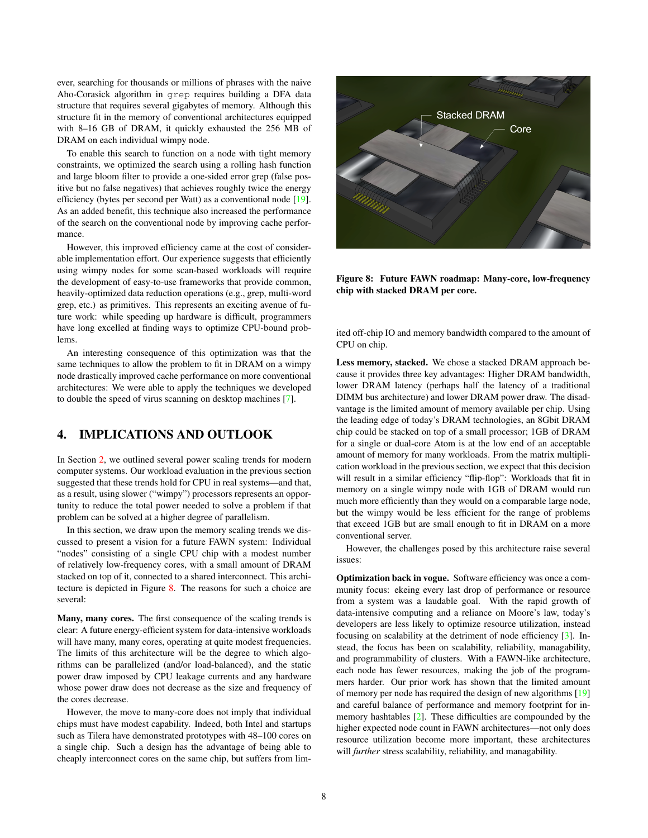ever, searching for thousands or millions of phrases with the naive Aho-Corasick algorithm in grep requires building a DFA data structure that requires several gigabytes of memory. Although this structure fit in the memory of conventional architectures equipped with 8–16 GB of DRAM, it quickly exhausted the 256 MB of DRAM on each individual wimpy node.

To enable this search to function on a node with tight memory constraints, we optimized the search using a rolling hash function and large bloom filter to provide a one-sided error grep (false positive but no false negatives) that achieves roughly twice the energy efficiency (bytes per second per Watt) as a conventional node [\[19\]](#page-9-14). As an added benefit, this technique also increased the performance of the search on the conventional node by improving cache performance.

However, this improved efficiency came at the cost of considerable implementation effort. Our experience suggests that efficiently using wimpy nodes for some scan-based workloads will require the development of easy-to-use frameworks that provide common, heavily-optimized data reduction operations (e.g., grep, multi-word grep, etc.) as primitives. This represents an exciting avenue of future work: while speeding up hardware is difficult, programmers have long excelled at finding ways to optimize CPU-bound problems.

An interesting consequence of this optimization was that the same techniques to allow the problem to fit in DRAM on a wimpy node drastically improved cache performance on more conventional architectures: We were able to apply the techniques we developed to double the speed of virus scanning on desktop machines [\[7\]](#page-9-15).

# 4. IMPLICATIONS AND OUTLOOK

In Section [2,](#page-0-0) we outlined several power scaling trends for modern computer systems. Our workload evaluation in the previous section suggested that these trends hold for CPU in real systems—and that, as a result, using slower ("wimpy") processors represents an opportunity to reduce the total power needed to solve a problem if that problem can be solved at a higher degree of parallelism.

In this section, we draw upon the memory scaling trends we discussed to present a vision for a future FAWN system: Individual "nodes" consisting of a single CPU chip with a modest number of relatively low-frequency cores, with a small amount of DRAM stacked on top of it, connected to a shared interconnect. This architecture is depicted in Figure [8.](#page-7-0) The reasons for such a choice are several:

Many, many cores. The first consequence of the scaling trends is clear: A future energy-efficient system for data-intensive workloads will have many, many cores, operating at quite modest frequencies. The limits of this architecture will be the degree to which algorithms can be parallelized (and/or load-balanced), and the static power draw imposed by CPU leakage currents and any hardware whose power draw does not decrease as the size and frequency of the cores decrease.

However, the move to many-core does not imply that individual chips must have modest capability. Indeed, both Intel and startups such as Tilera have demonstrated prototypes with 48–100 cores on a single chip. Such a design has the advantage of being able to cheaply interconnect cores on the same chip, but suffers from lim-



Figure 8: Future FAWN roadmap: Many-core, low-frequency chip with stacked DRAM per core.

<span id="page-7-0"></span>ited off-chip IO and memory bandwidth compared to the amount of CPU on chip.

Less memory, stacked. We chose a stacked DRAM approach because it provides three key advantages: Higher DRAM bandwidth, lower DRAM latency (perhaps half the latency of a traditional DIMM bus architecture) and lower DRAM power draw. The disadvantage is the limited amount of memory available per chip. Using the leading edge of today's DRAM technologies, an 8Gbit DRAM chip could be stacked on top of a small processor; 1GB of DRAM for a single or dual-core Atom is at the low end of an acceptable amount of memory for many workloads. From the matrix multiplication workload in the previous section, we expect that this decision will result in a similar efficiency "flip-flop": Workloads that fit in memory on a single wimpy node with 1GB of DRAM would run much more efficiently than they would on a comparable large node, but the wimpy would be less efficient for the range of problems that exceed 1GB but are small enough to fit in DRAM on a more conventional server.

However, the challenges posed by this architecture raise several issues:

Optimization back in vogue. Software efficiency was once a community focus: ekeing every last drop of performance or resource from a system was a laudable goal. With the rapid growth of data-intensive computing and a reliance on Moore's law, today's developers are less likely to optimize resource utilization, instead focusing on scalability at the detriment of node efficiency [\[3\]](#page-9-16). Instead, the focus has been on scalability, reliability, managability, and programmability of clusters. With a FAWN-like architecture, each node has fewer resources, making the job of the programmers harder. Our prior work has shown that the limited amount of memory per node has required the design of new algorithms [\[19\]](#page-9-14) and careful balance of performance and memory footprint for inmemory hashtables [\[2\]](#page-9-7). These difficulties are compounded by the higher expected node count in FAWN architectures—not only does resource utilization become more important, these architectures will *further* stress scalability, reliability, and managability.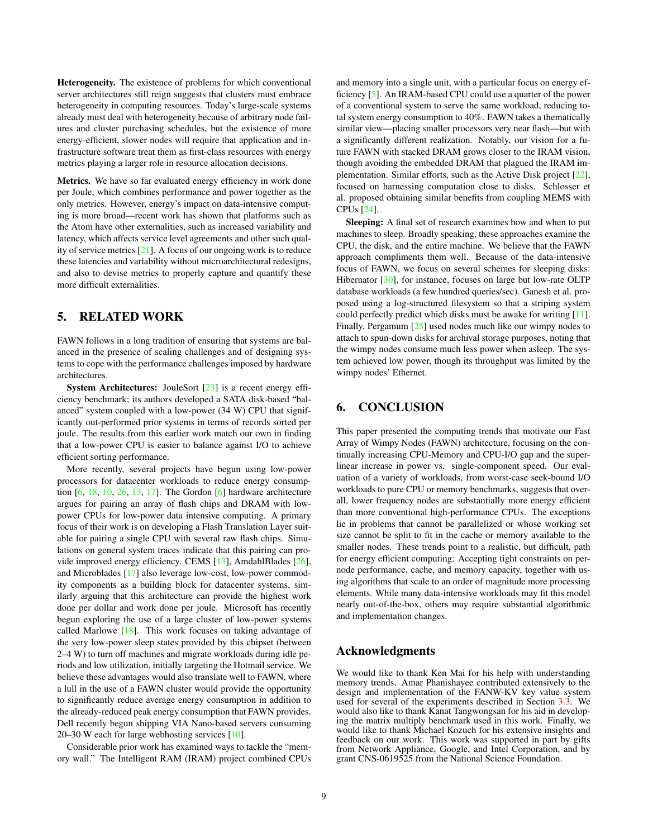Heterogeneity. The existence of problems for which conventional server architectures still reign suggests that clusters must embrace heterogeneity in computing resources. Today's large-scale systems already must deal with heterogeneity because of arbitrary node failures and cluster purchasing schedules, but the existence of more energy-efficient, slower nodes will require that application and infrastructure software treat them as first-class resources with energy metrics playing a larger role in resource allocation decisions.

Metrics. We have so far evaluated energy efficiency in work done per Joule, which combines performance and power together as the only metrics. However, energy's impact on data-intensive computing is more broad—recent work has shown that platforms such as the Atom have other externalities, such as increased variability and latency, which affects service level agreements and other such quality of service metrics [\[21\]](#page-9-17). A focus of our ongoing work is to reduce these latencies and variability without microarchitectural redesigns, and also to devise metrics to properly capture and quantify these more difficult externalities.

# 5. RELATED WORK

FAWN follows in a long tradition of ensuring that systems are balanced in the presence of scaling challenges and of designing systems to cope with the performance challenges imposed by hardware architectures.

System Architectures: JouleSort [\[23\]](#page-9-13) is a recent energy efficiency benchmark; its authors developed a SATA disk-based "balanced" system coupled with a low-power (34 W) CPU that significantly out-performed prior systems in terms of records sorted per joule. The results from this earlier work match our own in finding that a low-power CPU is easier to balance against I/O to achieve efficient sorting performance.

More recently, several projects have begun using low-power processors for datacenter workloads to reduce energy consumption [\[6,](#page-9-18) [18,](#page-9-19) [10,](#page-9-20) [26,](#page-9-21) [13,](#page-9-22) [17\]](#page-9-23). The Gordon [\[6\]](#page-9-18) hardware architecture argues for pairing an array of flash chips and DRAM with lowpower CPUs for low-power data intensive computing. A primary focus of their work is on developing a Flash Translation Layer suitable for pairing a single CPU with several raw flash chips. Simulations on general system traces indicate that this pairing can provide improved energy efficiency. CEMS [\[13\]](#page-9-22), AmdahlBlades [\[26\]](#page-9-21), and Microblades [\[17\]](#page-9-23) also leverage low-cost, low-power commodity components as a building block for datacenter systems, similarly arguing that this architecture can provide the highest work done per dollar and work done per joule. Microsoft has recently begun exploring the use of a large cluster of low-power systems called Marlowe [\[18\]](#page-9-19). This work focuses on taking advantage of the very low-power sleep states provided by this chipset (between 2–4 W) to turn off machines and migrate workloads during idle periods and low utilization, initially targeting the Hotmail service. We believe these advantages would also translate well to FAWN, where a lull in the use of a FAWN cluster would provide the opportunity to significantly reduce average energy consumption in addition to the already-reduced peak energy consumption that FAWN provides. Dell recently begun shipping VIA Nano-based servers consuming 20–30 W each for large webhosting services [\[10\]](#page-9-20).

Considerable prior work has examined ways to tackle the "memory wall." The Intelligent RAM (IRAM) project combined CPUs

and memory into a single unit, with a particular focus on energy efficiency [\[5\]](#page-9-24). An IRAM-based CPU could use a quarter of the power of a conventional system to serve the same workload, reducing total system energy consumption to 40%. FAWN takes a thematically similar view—placing smaller processors very near flash—but with a significantly different realization. Notably, our vision for a future FAWN with stacked DRAM grows closer to the IRAM vision, though avoiding the embedded DRAM that plagued the IRAM implementation. Similar efforts, such as the Active Disk project [\[22\]](#page-9-25), focused on harnessing computation close to disks. Schlosser et al. proposed obtaining similar benefits from coupling MEMS with CPUs [\[24\]](#page-9-26).

Sleeping: A final set of research examines how and when to put machines to sleep. Broadly speaking, these approaches examine the CPU, the disk, and the entire machine. We believe that the FAWN approach compliments them well. Because of the data-intensive focus of FAWN, we focus on several schemes for sleeping disks: Hibernator [\[30\]](#page-9-27), for instance, focuses on large but low-rate OLTP database workloads (a few hundred queries/sec). Ganesh et al. proposed using a log-structured filesystem so that a striping system could perfectly predict which disks must be awake for writing [\[11\]](#page-9-28). Finally, Pergamum [\[25\]](#page-9-29) used nodes much like our wimpy nodes to attach to spun-down disks for archival storage purposes, noting that the wimpy nodes consume much less power when asleep. The system achieved low power, though its throughput was limited by the wimpy nodes' Ethernet.

# 6. CONCLUSION

This paper presented the computing trends that motivate our Fast Array of Wimpy Nodes (FAWN) architecture, focusing on the continually increasing CPU-Memory and CPU-I/O gap and the superlinear increase in power vs. single-component speed. Our evaluation of a variety of workloads, from worst-case seek-bound I/O workloads to pure CPU or memory benchmarks, suggests that overall, lower frequency nodes are substantially more energy efficient than more conventional high-performance CPUs. The exceptions lie in problems that cannot be parallelized or whose working set size cannot be split to fit in the cache or memory available to the smaller nodes. These trends point to a realistic, but difficult, path for energy efficient computing: Accepting tight constraints on pernode performance, cache, and memory capacity, together with using algorithms that scale to an order of magnitude more processing elements. While many data-intensive workloads may fit this model nearly out-of-the-box, others may require substantial algorithmic and implementation changes.

## Acknowledgments

We would like to thank Ken Mai for his help with understanding memory trends. Amar Phanishayee contributed extensively to the design and implementation of the FANW-KV key value system used for several of the experiments described in Section [3.3.](#page-3-1) We would also like to thank Kanat Tangwongsan for his aid in developing the matrix multiply benchmark used in this work. Finally, we would like to thank Michael Kozuch for his extensive insights and feedback on our work. This work was supported in part by gifts from Network Appliance, Google, and Intel Corporation, and by grant CNS-0619525 from the National Science Foundation.